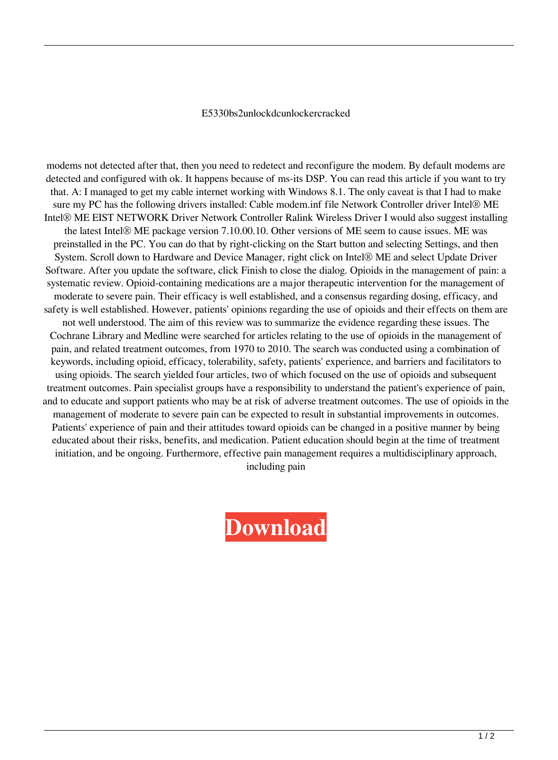## E5330bs2unlockdcunlockercracked

modems not detected after that, then you need to redetect and reconfigure the modem. By default modems are detected and configured with ok. It happens because of ms-its DSP. You can read this article if you want to try that. A: I managed to get my cable internet working with Windows 8.1. The only caveat is that I had to make sure my PC has the following drivers installed: Cable modem.inf file Network Controller driver Intel® ME Intel® ME EIST NETWORK Driver Network Controller Ralink Wireless Driver I would also suggest installing the latest Intel® ME package version 7.10.00.10. Other versions of ME seem to cause issues. ME was preinstalled in the PC. You can do that by right-clicking on the Start button and selecting Settings, and then System. Scroll down to Hardware and Device Manager, right click on Intel® ME and select Update Driver Software. After you update the software, click Finish to close the dialog. Opioids in the management of pain: a systematic review. Opioid-containing medications are a major therapeutic intervention for the management of moderate to severe pain. Their efficacy is well established, and a consensus regarding dosing, efficacy, and safety is well established. However, patients' opinions regarding the use of opioids and their effects on them are not well understood. The aim of this review was to summarize the evidence regarding these issues. The Cochrane Library and Medline were searched for articles relating to the use of opioids in the management of pain, and related treatment outcomes, from 1970 to 2010. The search was conducted using a combination of keywords, including opioid, efficacy, tolerability, safety, patients' experience, and barriers and facilitators to using opioids. The search yielded four articles, two of which focused on the use of opioids and subsequent treatment outcomes. Pain specialist groups have a responsibility to understand the patient's experience of pain, and to educate and support patients who may be at risk of adverse treatment outcomes. The use of opioids in the management of moderate to severe pain can be expected to result in substantial improvements in outcomes. Patients' experience of pain and their attitudes toward opioids can be changed in a positive manner by being educated about their risks, benefits, and medication. Patient education should begin at the time of treatment initiation, and be ongoing. Furthermore, effective pain management requires a multidisciplinary approach, including pain

**[Download](http://evacdir.com/dacheva/ZTUzMzBiczJ1bmxvY2tkY3VubG9ja2VyY3JhY2tlZAZTU/koran/ZG93bmxvYWR8TFE2TVRCbmQzeDhNVFkxTWpRMk16QTFNSHg4TWpVM05IeDhLRTBwSUhKbFlXUXRZbXh2WnlCYlJtRnpkQ0JIUlU1ZA/stratagem/glazes.)**